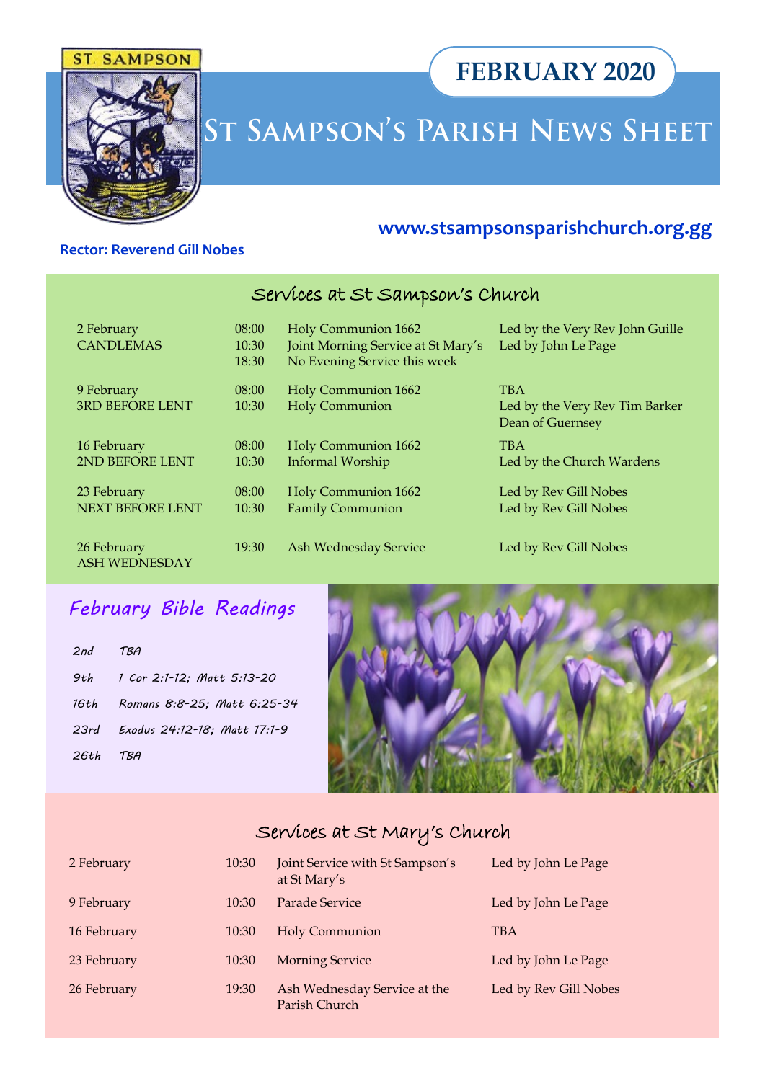#### **SAMPSON** ST.



# ST SAMPSON'S PARISH NEWS SHEET

#### **Rector: Reverend Gill Nobes**

## **www.stsampsonsparishchurch.org.gg**

**FEBRUARY 2020**

# Services at St Sampson's Church

| 2 February<br><b>CANDLEMAS</b>         | 08:00<br>10:30<br>18:30 | <b>Holy Communion 1662</b><br>Joint Morning Service at St Mary's<br>No Evening Service this week | Led by the Very Rev John Guille<br>Led by John Le Page           |
|----------------------------------------|-------------------------|--------------------------------------------------------------------------------------------------|------------------------------------------------------------------|
| 9 February<br><b>3RD BEFORE LENT</b>   | 08:00<br>10:30          | Holy Communion 1662<br><b>Holy Communion</b>                                                     | <b>TBA</b><br>Led by the Very Rev Tim Barker<br>Dean of Guernsey |
| 16 February<br>2ND BEFORE LENT         | 08:00<br>10:30          | <b>Holy Communion 1662</b><br>Informal Worship                                                   | <b>TBA</b><br>Led by the Church Wardens                          |
| 23 February<br><b>NEXT BEFORE LENT</b> | 08:00<br>10:30          | Holy Communion 1662<br><b>Family Communion</b>                                                   | Led by Rev Gill Nobes<br>Led by Rev Gill Nobes                   |
| 26 February<br><b>ASH WEDNESDAY</b>    | 19:30                   | <b>Ash Wednesday Service</b>                                                                     | Led by Rev Gill Nobes                                            |

# *February Bible Readings*

| 2nd TBA  |                                   |
|----------|-----------------------------------|
|          | 9th 1 Cor 2:1-12; Matt 5:13-20    |
|          | 16th Romans 8:8-25; Matt 6:25-34  |
|          | 23rd Exodus 24:12-18; Matt 17:1-9 |
| 26th TBA |                                   |



# Services at St Mary's Church

| 2 February  | 10:30 | Joint Service with St Sampson's<br>at St Mary's | Led by John Le Page   |
|-------------|-------|-------------------------------------------------|-----------------------|
| 9 February  | 10:30 | Parade Service                                  | Led by John Le Page   |
| 16 February | 10:30 | <b>Holy Communion</b>                           | <b>TBA</b>            |
| 23 February | 10:30 | <b>Morning Service</b>                          | Led by John Le Page   |
| 26 February | 19:30 | Ash Wednesday Service at the<br>Parish Church   | Led by Rev Gill Nobes |